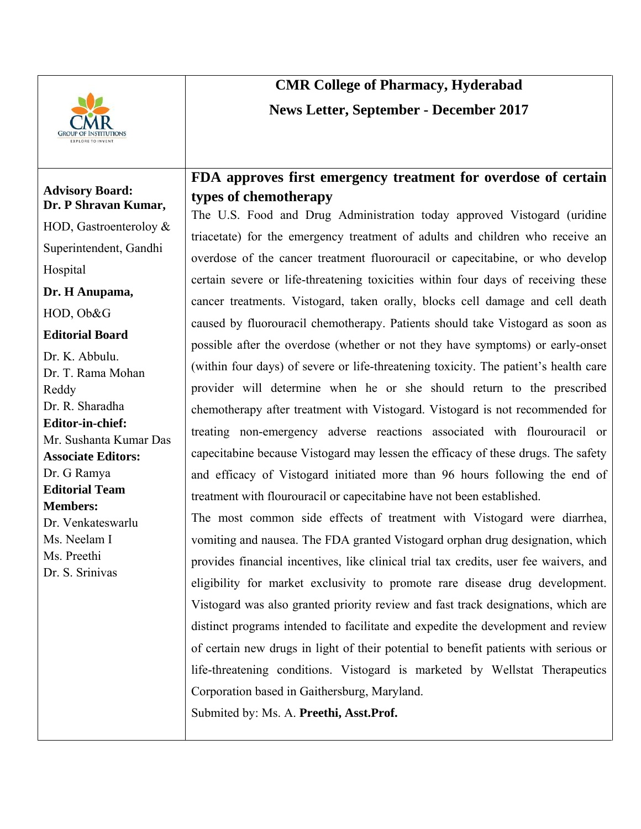

### **Advisory Board: Dr. P Shravan Kumar,**

HOD, Gastroenteroloy & Superintendent, Gandhi

Hospital

**Dr. H Anupama,** 

HOD, Ob&G

## **Editorial Board**

Dr. K. Abbulu. Dr. T. Rama Mohan Reddy Dr. R. Sharadha **Editor-in-chief:**  Mr. Sushanta Kumar Das **Associate Editors:**  Dr. G Ramya **Editorial Team Members:**  Dr. Venkateswarlu Ms. Neelam I Ms. Preethi Dr. S. Srinivas

# **CMR College of Pharmacy, Hyderabad News Letter, September - December 2017**

# **FDA approves first emergency treatment for overdose of certain types of chemotherapy**

The U.S. Food and Drug Administration today approved Vistogard (uridine triacetate) for the emergency treatment of adults and children who receive an overdose of the cancer treatment fluorouracil or capecitabine, or who develop certain severe or life-threatening toxicities within four days of receiving these cancer treatments. Vistogard, taken orally, blocks cell damage and cell death caused by fluorouracil chemotherapy. Patients should take Vistogard as soon as possible after the overdose (whether or not they have symptoms) or early-onset (within four days) of severe or life-threatening toxicity. The patient's health care provider will determine when he or she should return to the prescribed chemotherapy after treatment with Vistogard. Vistogard is not recommended for treating non-emergency adverse reactions associated with flourouracil or capecitabine because Vistogard may lessen the efficacy of these drugs. The safety and efficacy of Vistogard initiated more than 96 hours following the end of treatment with flourouracil or capecitabine have not been established.

The most common side effects of treatment with Vistogard were diarrhea, vomiting and nausea. The FDA granted Vistogard orphan drug designation, which provides financial incentives, like clinical trial tax credits, user fee waivers, and eligibility for market exclusivity to promote rare disease drug development. Vistogard was also granted priority review and fast track designations, which are distinct programs intended to facilitate and expedite the development and review of certain new drugs in light of their potential to benefit patients with serious or life-threatening conditions. Vistogard is marketed by Wellstat Therapeutics Corporation based in Gaithersburg, Maryland.

Submited by: Ms. A. **Preethi, Asst.Prof.**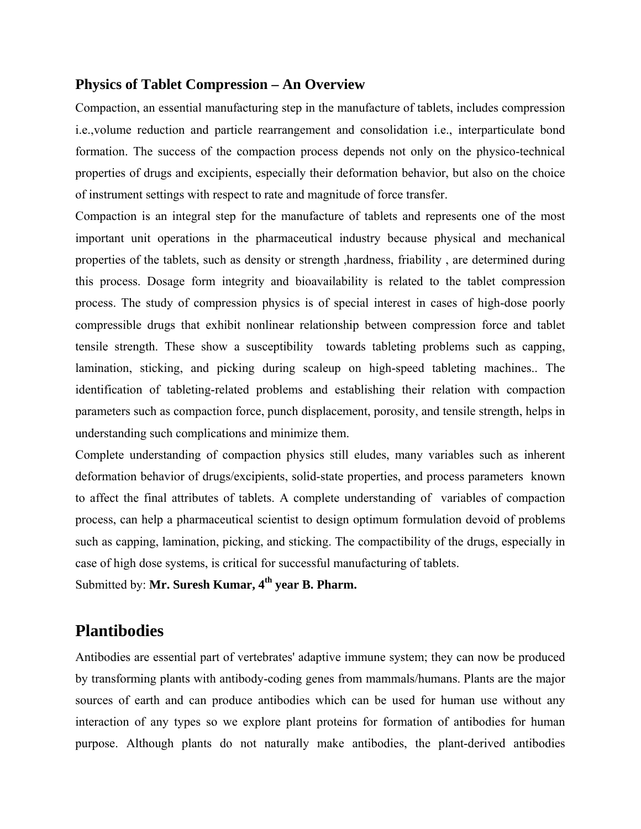#### **Physics of Tablet Compression – An Overview**

Compaction, an essential manufacturing step in the manufacture of tablets, includes compression i.e.,volume reduction and particle rearrangement and consolidation i.e., interparticulate bond formation. The success of the compaction process depends not only on the physico-technical properties of drugs and excipients, especially their deformation behavior, but also on the choice of instrument settings with respect to rate and magnitude of force transfer.

Compaction is an integral step for the manufacture of tablets and represents one of the most important unit operations in the pharmaceutical industry because physical and mechanical properties of the tablets, such as density or strength ,hardness, friability , are determined during this process. Dosage form integrity and bioavailability is related to the tablet compression process. The study of compression physics is of special interest in cases of high-dose poorly compressible drugs that exhibit nonlinear relationship between compression force and tablet tensile strength. These show a susceptibility towards tableting problems such as capping, lamination, sticking, and picking during scaleup on high-speed tableting machines.. The identification of tableting-related problems and establishing their relation with compaction parameters such as compaction force, punch displacement, porosity, and tensile strength, helps in understanding such complications and minimize them.

Complete understanding of compaction physics still eludes, many variables such as inherent deformation behavior of drugs/excipients, solid-state properties, and process parameters known to affect the final attributes of tablets. A complete understanding of variables of compaction process, can help a pharmaceutical scientist to design optimum formulation devoid of problems such as capping, lamination, picking, and sticking. The compactibility of the drugs, especially in case of high dose systems, is critical for successful manufacturing of tablets.

Submitted by: **Mr. Suresh Kumar, 4th year B. Pharm.**

# **Plantibodies**

Antibodies are essential part of vertebrates' adaptive immune system; they can now be produced by transforming plants with antibody-coding genes from mammals/humans. Plants are the major sources of earth and can produce antibodies which can be used for human use without any interaction of any types so we explore plant proteins for formation of antibodies for human purpose. Although plants do not naturally make antibodies, the plant-derived antibodies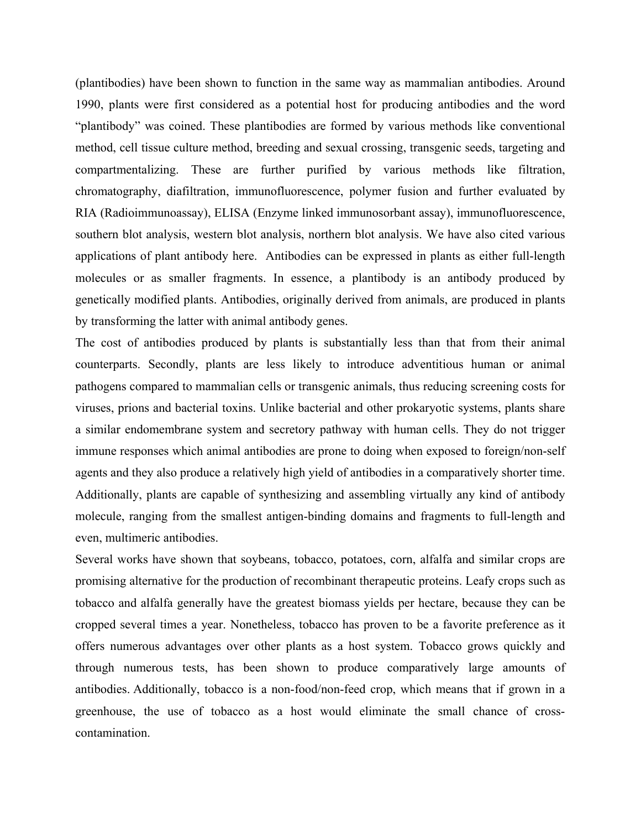(plantibodies) have been shown to function in the same way as mammalian antibodies. Around 1990, plants were first considered as a potential host for producing antibodies and the word "plantibody" was coined. These plantibodies are formed by various methods like conventional method, cell tissue culture method, breeding and sexual crossing, transgenic seeds, targeting and compartmentalizing. These are further purified by various methods like filtration, chromatography, diafiltration, immunofluorescence, polymer fusion and further evaluated by RIA (Radioimmunoassay), ELISA (Enzyme linked immunosorbant assay), immunofluorescence, southern blot analysis, western blot analysis, northern blot analysis. We have also cited various applications of plant antibody here. Antibodies can be expressed in plants as either full-length molecules or as smaller fragments. In essence, a plantibody is an antibody produced by genetically modified plants. Antibodies, originally derived from animals, are produced in plants by transforming the latter with animal antibody genes.

The cost of antibodies produced by plants is substantially less than that from their animal counterparts. Secondly, plants are less likely to introduce adventitious human or animal pathogens compared to mammalian cells or transgenic animals, thus reducing screening costs for viruses, prions and bacterial toxins. Unlike bacterial and other prokaryotic systems, plants share a similar endomembrane system and secretory pathway with human cells. They do not trigger immune responses which animal antibodies are prone to doing when exposed to foreign/non-self agents and they also produce a relatively high yield of antibodies in a comparatively shorter time. Additionally, plants are capable of synthesizing and assembling virtually any kind of antibody molecule, ranging from the smallest antigen-binding domains and fragments to full-length and even, multimeric antibodies.

Several works have shown that soybeans, tobacco, potatoes, corn, alfalfa and similar crops are promising alternative for the production of recombinant therapeutic proteins. Leafy crops such as tobacco and alfalfa generally have the greatest biomass yields per hectare, because they can be cropped several times a year. Nonetheless, tobacco has proven to be a favorite preference as it offers numerous advantages over other plants as a host system. Tobacco grows quickly and through numerous tests, has been shown to produce comparatively large amounts of antibodies. Additionally, tobacco is a non-food/non-feed crop, which means that if grown in a greenhouse, the use of tobacco as a host would eliminate the small chance of crosscontamination.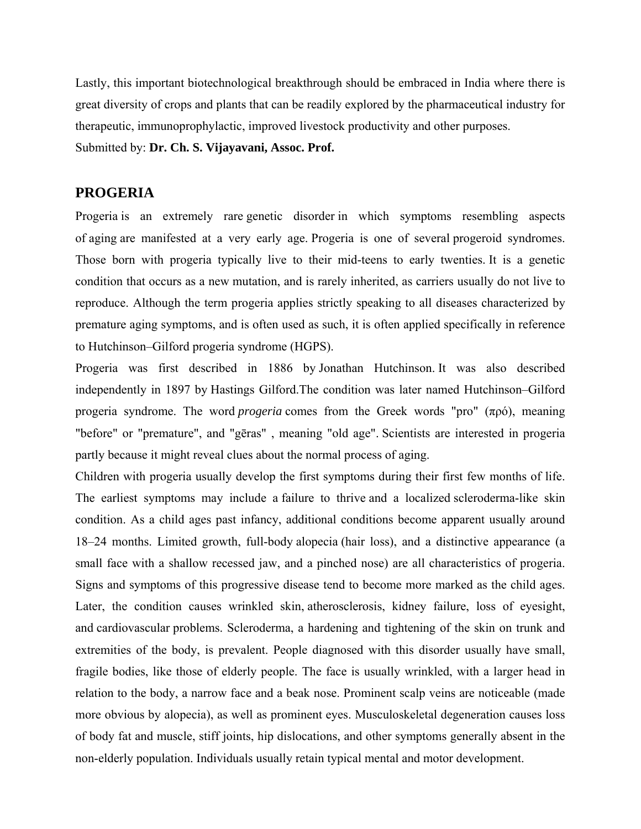Lastly, this important biotechnological breakthrough should be embraced in India where there is great diversity of crops and plants that can be readily explored by the pharmaceutical industry for therapeutic, immunoprophylactic, improved livestock productivity and other purposes. Submitted by: **Dr. Ch. S. Vijayavani, Assoc. Prof.** 

#### **PROGERIA**

Progeria is an extremely rare genetic disorder in which symptoms resembling aspects of aging are manifested at a very early age. Progeria is one of several progeroid syndromes. Those born with progeria typically live to their mid-teens to early twenties. It is a genetic condition that occurs as a new mutation, and is rarely inherited, as carriers usually do not live to reproduce. Although the term progeria applies strictly speaking to all diseases characterized by premature aging symptoms, and is often used as such, it is often applied specifically in reference to Hutchinson–Gilford progeria syndrome (HGPS).

Progeria was first described in 1886 by Jonathan Hutchinson. It was also described independently in 1897 by Hastings Gilford.The condition was later named Hutchinson–Gilford progeria syndrome. The word *progeria* comes from the Greek words "pro" (πρό), meaning "before" or "premature", and "gēras" , meaning "old age". Scientists are interested in progeria partly because it might reveal clues about the normal process of aging.

Children with progeria usually develop the first symptoms during their first few months of life. The earliest symptoms may include a failure to thrive and a localized scleroderma-like skin condition. As a child ages past infancy, additional conditions become apparent usually around 18–24 months. Limited growth, full-body alopecia (hair loss), and a distinctive appearance (a small face with a shallow recessed jaw, and a pinched nose) are all characteristics of progeria. Signs and symptoms of this progressive disease tend to become more marked as the child ages. Later, the condition causes wrinkled skin, atherosclerosis, kidney failure, loss of eyesight, and cardiovascular problems. Scleroderma, a hardening and tightening of the skin on trunk and extremities of the body, is prevalent. People diagnosed with this disorder usually have small, fragile bodies, like those of elderly people. The face is usually wrinkled, with a larger head in relation to the body, a narrow face and a beak nose. Prominent scalp veins are noticeable (made more obvious by alopecia), as well as prominent eyes. Musculoskeletal degeneration causes loss of body fat and muscle, stiff joints, hip dislocations, and other symptoms generally absent in the non-elderly population. Individuals usually retain typical mental and motor development.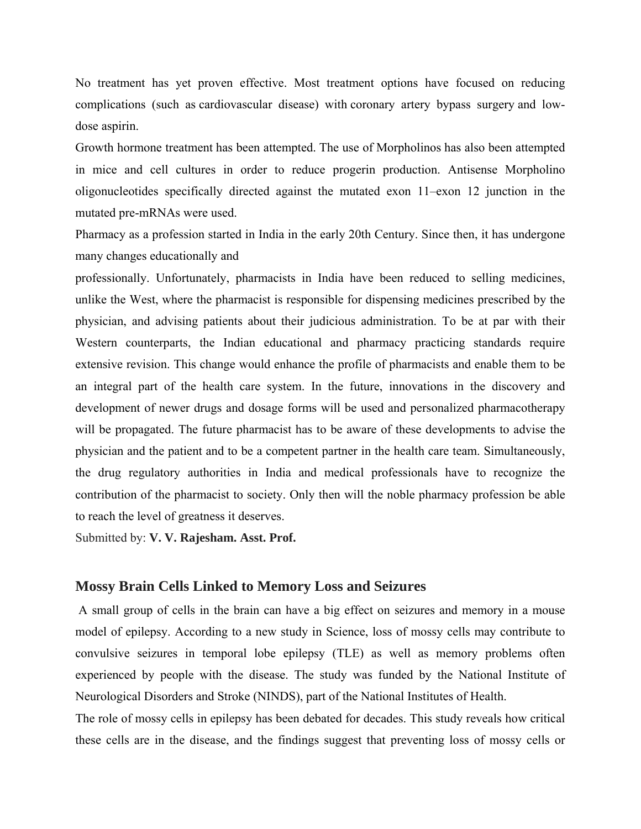No treatment has yet proven effective. Most treatment options have focused on reducing complications (such as [cardiovascular disease\)](https://en.wikipedia.org/wiki/Cardiovascular_disease) with [coronary artery bypass surgery](https://en.wikipedia.org/wiki/Coronary_artery_bypass_surgery) and lowdose [aspirin.](https://en.wikipedia.org/wiki/Aspirin)

[Growth hormone treatment](https://en.wikipedia.org/wiki/Growth_hormone_treatment) has been attempted. The use of [Morpholinos](https://en.wikipedia.org/wiki/Morpholino) has also been attempted in mice and cell cultures in order to reduce progerin production. Antisense Morpholino oligonucleotides specifically directed against the mutated exon 11–exon 12 junction in the mutated pre-mRNAs were used.

Pharmacy as a profession started in India in the early 20th Century. Since then, it has undergone many changes educationally and

professionally. Unfortunately, pharmacists in India have been reduced to selling medicines, unlike the West, where the pharmacist is responsible for dispensing medicines prescribed by the physician, and advising patients about their judicious administration. To be at par with their Western counterparts, the Indian educational and pharmacy practicing standards require extensive revision. This change would enhance the profile of pharmacists and enable them to be an integral part of the health care system. In the future, innovations in the discovery and development of newer drugs and dosage forms will be used and personalized pharmacotherapy will be propagated. The future pharmacist has to be aware of these developments to advise the physician and the patient and to be a competent partner in the health care team. Simultaneously, the drug regulatory authorities in India and medical professionals have to recognize the contribution of the pharmacist to society. Only then will the noble pharmacy profession be able to reach the level of greatness it deserves.

Submitted by: **V. V. Rajesham. Asst. Prof.** 

#### **Mossy Brain Cells Linked to Memory Loss and Seizures**

A small group of cells in the brain can have a big effect on seizures and memory in a mouse model of epilepsy. According to a new study in Science, loss of mossy cells may contribute to convulsive seizures in temporal lobe epilepsy (TLE) as well as memory problems often experienced by people with the disease. The study was funded by the National Institute of Neurological Disorders and Stroke (NINDS), part of the National Institutes of Health.

The role of mossy cells in epilepsy has been debated for decades. This study reveals how critical these cells are in the disease, and the findings suggest that preventing loss of mossy cells or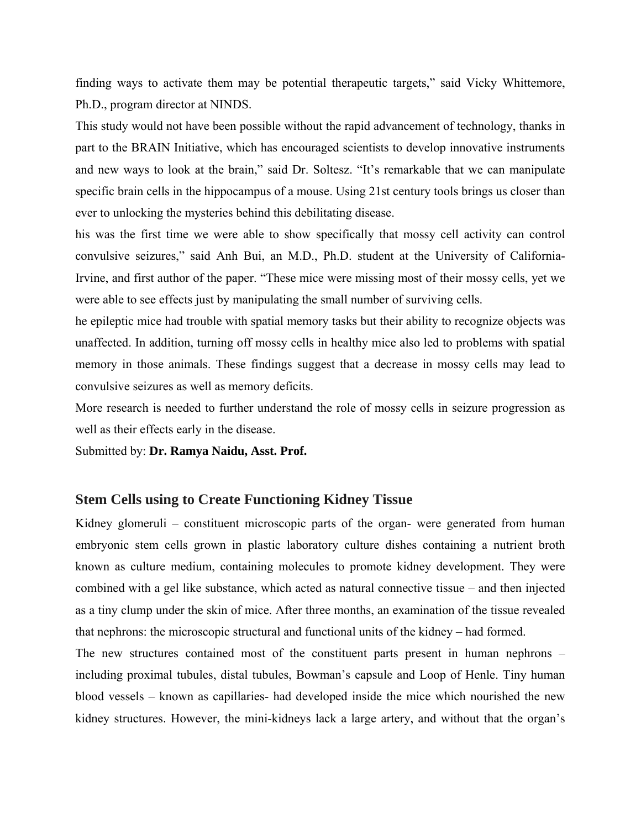finding ways to activate them may be potential therapeutic targets," said Vicky Whittemore, Ph.D., program director at NINDS.

This study would not have been possible without the rapid advancement of technology, thanks in part to the BRAIN Initiative, which has encouraged scientists to develop innovative instruments and new ways to look at the brain," said Dr. Soltesz. "It's remarkable that we can manipulate specific brain cells in the hippocampus of a mouse. Using 21st century tools brings us closer than ever to unlocking the mysteries behind this debilitating disease.

his was the first time we were able to show specifically that mossy cell activity can control convulsive seizures," said Anh Bui, an M.D., Ph.D. student at the University of California-Irvine, and first author of the paper. "These mice were missing most of their mossy cells, yet we were able to see effects just by manipulating the small number of surviving cells.

he epileptic mice had trouble with spatial memory tasks but their ability to recognize objects was unaffected. In addition, turning off mossy cells in healthy mice also led to problems with spatial memory in those animals. These findings suggest that a decrease in mossy cells may lead to convulsive seizures as well as memory deficits.

More research is needed to further understand the role of mossy cells in seizure progression as well as their effects early in the disease.

Submitted by: **Dr. Ramya Naidu, Asst. Prof.**

#### **Stem Cells using to Create Functioning Kidney Tissue**

Kidney glomeruli – constituent microscopic parts of the organ- were generated from human embryonic stem cells grown in plastic laboratory culture dishes containing a nutrient broth known as culture medium, containing molecules to promote kidney development. They were combined with a gel like substance, which acted as natural connective tissue – and then injected as a tiny clump under the skin of mice. After three months, an examination of the tissue revealed that nephrons: the microscopic structural and functional units of the kidney – had formed.

The new structures contained most of the constituent parts present in human nephrons – including proximal tubules, distal tubules, Bowman's capsule and Loop of Henle. Tiny human blood vessels – known as capillaries- had developed inside the mice which nourished the new kidney structures. However, the mini-kidneys lack a large artery, and without that the organ's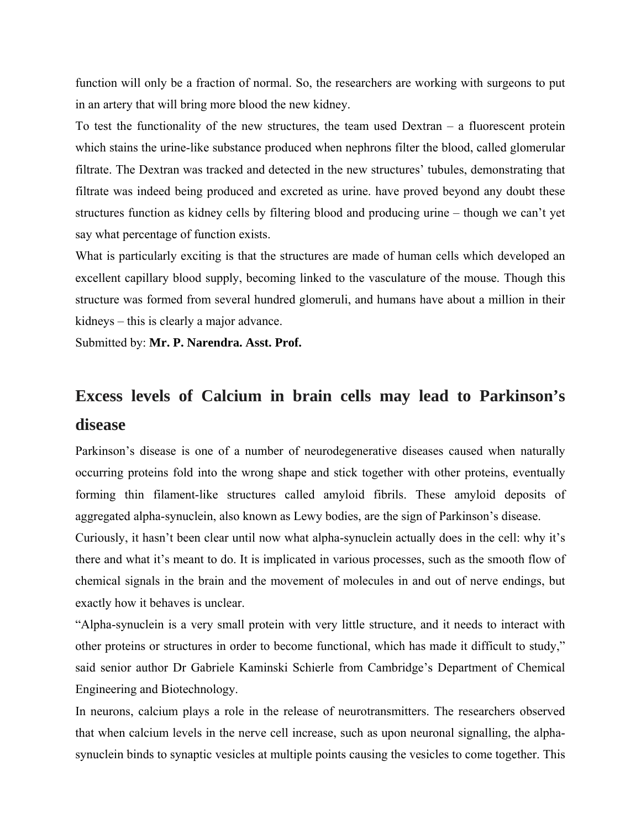function will only be a fraction of normal. So, the researchers are working with surgeons to put in an artery that will bring more blood the new kidney.

To test the functionality of the new structures, the team used  $D$ extran  $-$  a fluorescent protein which stains the urine-like substance produced when nephrons filter the blood, called glomerular filtrate. The Dextran was tracked and detected in the new structures' tubules, demonstrating that filtrate was indeed being produced and excreted as urine. have proved beyond any doubt these structures function as kidney cells by filtering blood and producing urine – though we can't yet say what percentage of function exists.

What is particularly exciting is that the structures are made of human cells which developed an excellent capillary blood supply, becoming linked to the vasculature of the mouse. Though this structure was formed from several hundred glomeruli, and humans have about a million in their kidneys – this is clearly a major advance.

Submitted by: **Mr. P. Narendra. Asst. Prof.**

# **Excess levels of Calcium in brain cells may lead to Parkinson's disease**

Parkinson's disease is one of a number of neurodegenerative diseases caused when naturally occurring proteins fold into the wrong shape and stick together with other proteins, eventually forming thin filament-like structures called amyloid fibrils. These amyloid deposits of aggregated alpha-synuclein, also known as Lewy bodies, are the sign of Parkinson's disease.

Curiously, it hasn't been clear until now what alpha-synuclein actually does in the cell: why it's there and what it's meant to do. It is implicated in various processes, such as the smooth flow of chemical signals in the brain and the movement of molecules in and out of nerve endings, but exactly how it behaves is unclear.

"Alpha-synuclein is a very small protein with very little structure, and it needs to interact with other proteins or structures in order to become functional, which has made it difficult to study," said senior author Dr Gabriele Kaminski Schierle from Cambridge's Department of Chemical Engineering and Biotechnology.

In neurons, calcium plays a role in the release of neurotransmitters. The researchers observed that when calcium levels in the nerve cell increase, such as upon neuronal signalling, the alphasynuclein binds to synaptic vesicles at multiple points causing the vesicles to come together. This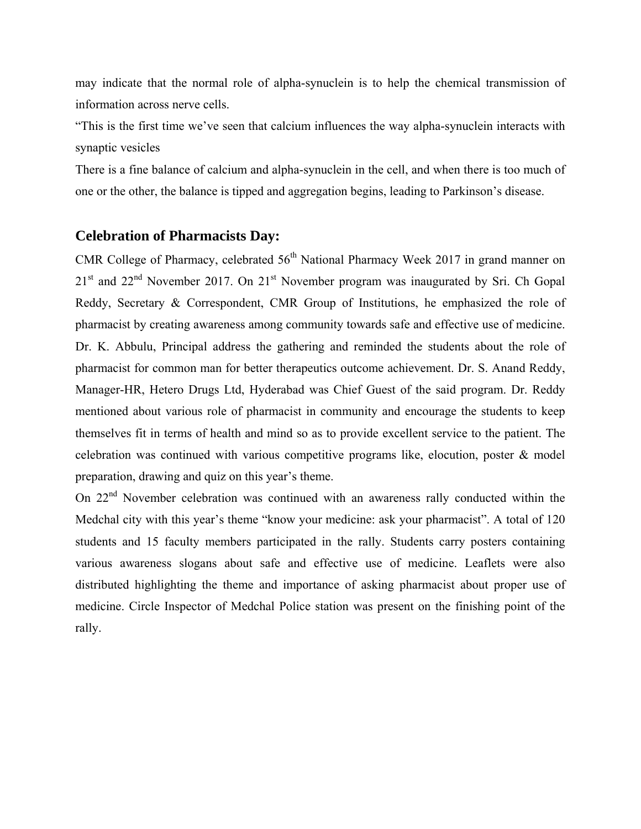may indicate that the normal role of alpha-synuclein is to help the chemical transmission of information across nerve cells.

"This is the first time we've seen that calcium influences the way alpha-synuclein interacts with synaptic vesicles

There is a fine balance of calcium and alpha-synuclein in the cell, and when there is too much of one or the other, the balance is tipped and aggregation begins, leading to Parkinson's disease.

### **Celebration of Pharmacists Day:**

CMR College of Pharmacy, celebrated  $56<sup>th</sup>$  National Pharmacy Week 2017 in grand manner on  $21<sup>st</sup>$  and  $22<sup>nd</sup>$  November 2017. On  $21<sup>st</sup>$  November program was inaugurated by Sri. Ch Gopal Reddy, Secretary & Correspondent, CMR Group of Institutions, he emphasized the role of pharmacist by creating awareness among community towards safe and effective use of medicine. Dr. K. Abbulu, Principal address the gathering and reminded the students about the role of pharmacist for common man for better therapeutics outcome achievement. Dr. S. Anand Reddy, Manager-HR, Hetero Drugs Ltd, Hyderabad was Chief Guest of the said program. Dr. Reddy mentioned about various role of pharmacist in community and encourage the students to keep themselves fit in terms of health and mind so as to provide excellent service to the patient. The celebration was continued with various competitive programs like, elocution, poster & model preparation, drawing and quiz on this year's theme.

On 22<sup>nd</sup> November celebration was continued with an awareness rally conducted within the Medchal city with this year's theme "know your medicine: ask your pharmacist". A total of 120 students and 15 faculty members participated in the rally. Students carry posters containing various awareness slogans about safe and effective use of medicine. Leaflets were also distributed highlighting the theme and importance of asking pharmacist about proper use of medicine. Circle Inspector of Medchal Police station was present on the finishing point of the rally.